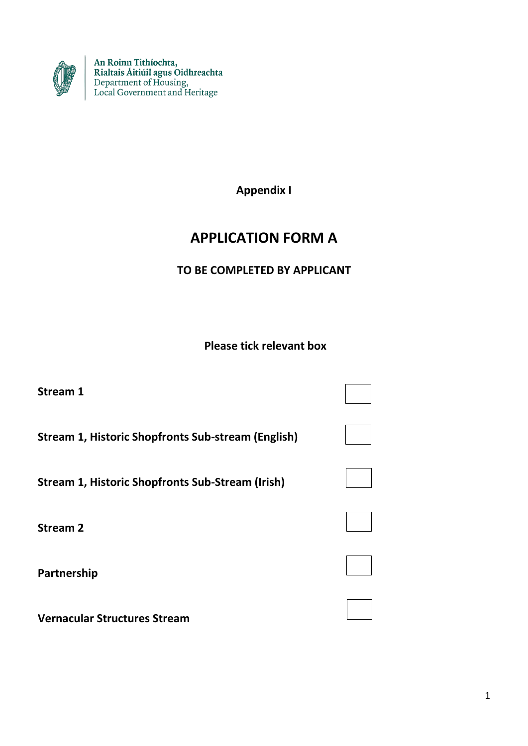

An Roinn Tithíochta,<br>Rialtais Áitiúil agus Oidhreachta<br>Department of Housing,<br>Local Government and Heritage

**Appendix I**

# **APPLICATION FORM A**

**TO BE COMPLETED BY APPLICANT**

**Please tick relevant box**

| Stream 1                                                  |  |
|-----------------------------------------------------------|--|
| <b>Stream 1, Historic Shopfronts Sub-stream (English)</b> |  |
| <b>Stream 1, Historic Shopfronts Sub-Stream (Irish)</b>   |  |
| <b>Stream 2</b>                                           |  |
| Partnership                                               |  |
| <b>Vernacular Structures Stream</b>                       |  |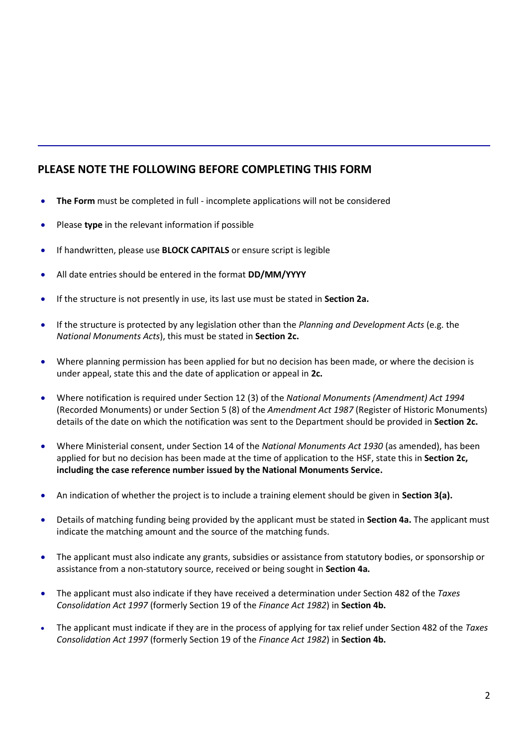### **PLEASE NOTE THE FOLLOWING BEFORE COMPLETING THIS FORM**

- **The Form** must be completed in full incomplete applications will not be considered
- Please **type** in the relevant information if possible
- If handwritten, please use **BLOCK CAPITALS** or ensure script is legible
- All date entries should be entered in the format **DD/MM/YYYY**
- If the structure is not presently in use, its last use must be stated in **Section 2a.**
- If the structure is protected by any legislation other than the *Planning and Development Acts* (e.g. the *National Monuments Acts*), this must be stated in **Section 2c.**
- Where planning permission has been applied for but no decision has been made, or where the decision is under appeal, state this and the date of application or appeal in **2c.**
- Where notification is required under Section 12 (3) of the *National Monuments (Amendment) Act 1994* (Recorded Monuments) or under Section 5 (8) of the *Amendment Act 1987* (Register of Historic Monuments) details of the date on which the notification was sent to the Department should be provided in **Section 2c.**
- Where Ministerial consent, under Section 14 of the *National Monuments Act 1930* (as amended), has been applied for but no decision has been made at the time of application to the HSF, state this in **Section 2c, including the case reference number issued by the National Monuments Service.**
- An indication of whether the project is to include a training element should be given in **Section 3(a).**
- Details of matching funding being provided by the applicant must be stated in **Section 4a.** The applicant must indicate the matching amount and the source of the matching funds.
- The applicant must also indicate any grants, subsidies or assistance from statutory bodies, or sponsorship or assistance from a non-statutory source, received or being sought in **Section 4a.**
- The applicant must also indicate if they have received a determination under Section 482 of the *Taxes Consolidation Act 1997* (formerly Section 19 of the *Finance Act 1982*) in **Section 4b.**
- The applicant must indicate if they are in the process of applying for tax relief under Section 482 of the *Taxes Consolidation Act 1997* (formerly Section 19 of the *Finance Act 1982*) in **Section 4b.**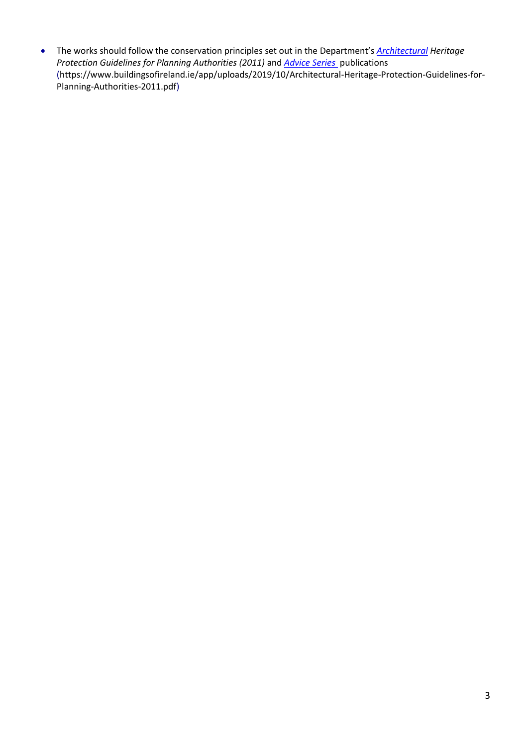The works should follow the conservation principles set out in the Department's *[Architectural](http://www.ahrrga.gov.ie/app/uploads/2015/07/Architectural-Heritage-Protection-Guidelines-2011.pdf) Heritage [Protection Guidelines for Planning Authorities \(2011\)](http://www.ahrrga.gov.ie/app/uploads/2015/07/Architectural-Heritage-Protection-Guidelines-2011.pdf)* and *[Advice Series](http://www.ahrrga.gov.ie/heritage/built-heritage/architectural-heritage-advisory-service/advice-for-owners/)* publications (https://www.buildingsofireland.ie/app/uploads/2019/10/Architectural-Heritage-Protection-Guidelines-for-Planning-Authorities-2011.pdf)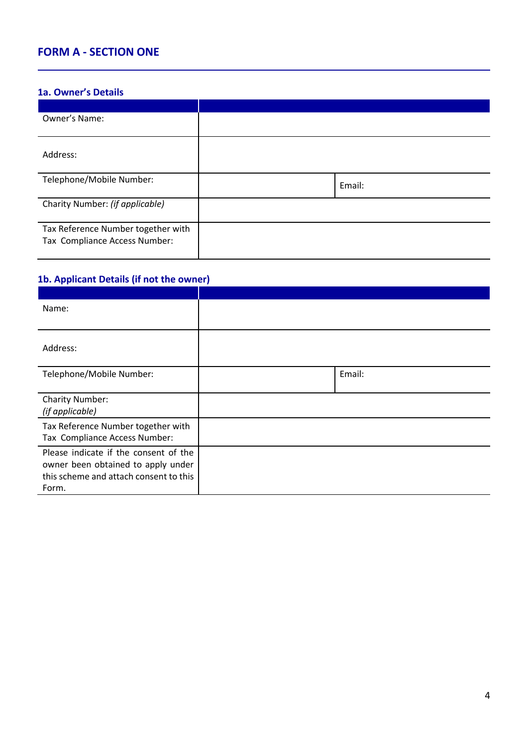# **FORM A - SECTION ONE**

### **1a. Owner's Details**

| Owner's Name:                                                       |        |
|---------------------------------------------------------------------|--------|
|                                                                     |        |
| Address:                                                            |        |
| Telephone/Mobile Number:                                            | Email: |
| Charity Number: (if applicable)                                     |        |
| Tax Reference Number together with<br>Tax Compliance Access Number: |        |

### **1b. Applicant Details (if not the owner)**

| Name:                                                                                                                          |        |
|--------------------------------------------------------------------------------------------------------------------------------|--------|
| Address:                                                                                                                       |        |
| Telephone/Mobile Number:                                                                                                       | Email: |
| <b>Charity Number:</b><br>(if applicable)                                                                                      |        |
| Tax Reference Number together with<br>Tax Compliance Access Number:                                                            |        |
| Please indicate if the consent of the<br>owner been obtained to apply under<br>this scheme and attach consent to this<br>Form. |        |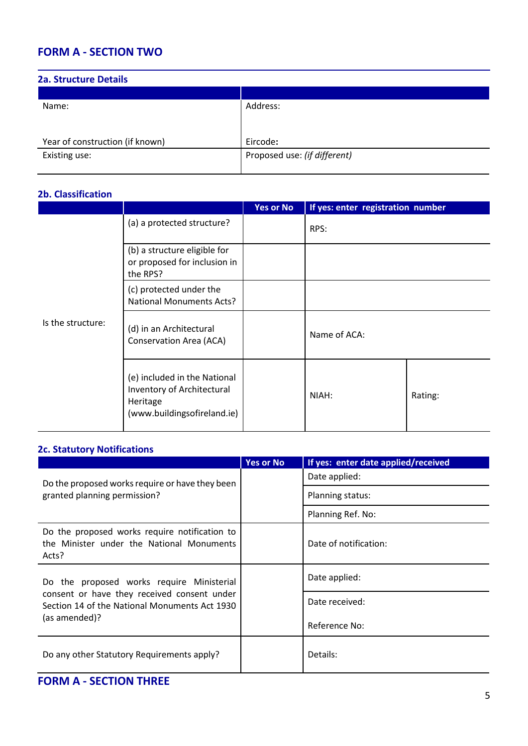# **FORM A - SECTION TWO**

| <b>2a. Structure Details</b>    |                              |
|---------------------------------|------------------------------|
|                                 |                              |
| Name:                           | Address:                     |
|                                 |                              |
|                                 |                              |
| Year of construction (if known) | Eircode:                     |
| Existing use:                   | Proposed use: (if different) |
|                                 |                              |

### **2b. Classification**

|                   |                                                                                                       | <b>Yes or No</b> | If yes: enter registration number |         |
|-------------------|-------------------------------------------------------------------------------------------------------|------------------|-----------------------------------|---------|
|                   | (a) a protected structure?                                                                            |                  | RPS:                              |         |
|                   | (b) a structure eligible for<br>or proposed for inclusion in<br>the RPS?                              |                  |                                   |         |
|                   | (c) protected under the<br><b>National Monuments Acts?</b>                                            |                  |                                   |         |
| Is the structure: | (d) in an Architectural<br>Conservation Area (ACA)                                                    |                  | Name of ACA:                      |         |
|                   | (e) included in the National<br>Inventory of Architectural<br>Heritage<br>(www.buildingsofireland.ie) |                  | NIAH:                             | Rating: |

#### **2c. Statutory Notifications**

|                                                                                                     | <b>Yes or No</b> | If yes: enter date applied/received |
|-----------------------------------------------------------------------------------------------------|------------------|-------------------------------------|
| Do the proposed works require or have they been                                                     |                  | Date applied:                       |
| granted planning permission?                                                                        |                  | Planning status:                    |
|                                                                                                     |                  | Planning Ref. No:                   |
| Do the proposed works require notification to<br>the Minister under the National Monuments<br>Acts? |                  | Date of notification:               |
| Do the proposed works require Ministerial                                                           |                  | Date applied:                       |
| consent or have they received consent under<br>Section 14 of the National Monuments Act 1930        |                  | Date received:                      |
| (as amended)?                                                                                       |                  | Reference No:                       |
| Do any other Statutory Requirements apply?                                                          |                  | Details:                            |

# **FORM A - SECTION THREE**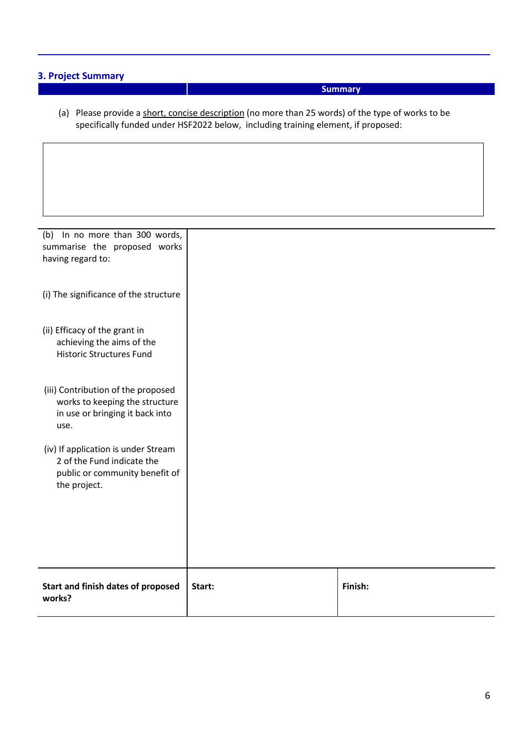### **3. Project Summary**

### **Summary**

(a) Please provide a short, concise description (no more than 25 words) of the type of works to be specifically funded under HSF2022 below, including training element, if proposed:

| (b) In no more than 300 words,<br>summarise the proposed works<br>having regard to:                                 |        |         |
|---------------------------------------------------------------------------------------------------------------------|--------|---------|
| (i) The significance of the structure                                                                               |        |         |
| (ii) Efficacy of the grant in<br>achieving the aims of the<br><b>Historic Structures Fund</b>                       |        |         |
| (iii) Contribution of the proposed<br>works to keeping the structure<br>in use or bringing it back into<br>use.     |        |         |
| (iv) If application is under Stream<br>2 of the Fund indicate the<br>public or community benefit of<br>the project. |        |         |
| Start and finish dates of proposed<br>works?                                                                        | Start: | Finish: |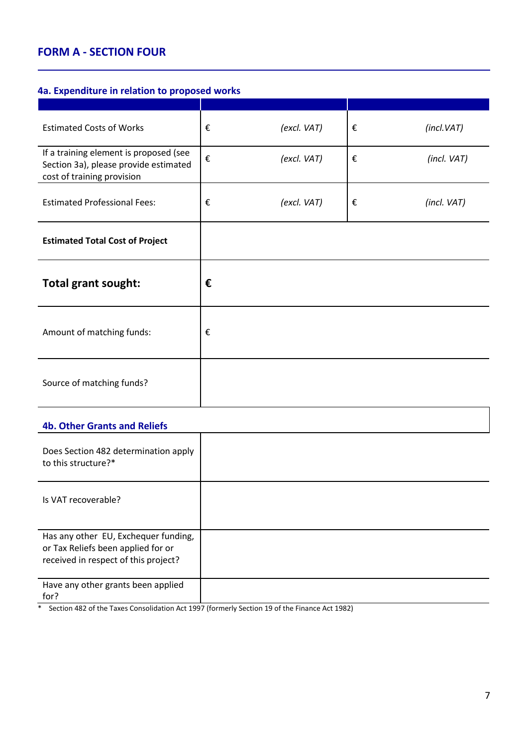# **FORM A - SECTION FOUR**

#### **4a. Expenditure in relation to proposed works**

| <b>Estimated Costs of Works</b>                                                                               | € | (excl. VAT) | € | (incl.VAT)  |
|---------------------------------------------------------------------------------------------------------------|---|-------------|---|-------------|
| If a training element is proposed (see<br>Section 3a), please provide estimated<br>cost of training provision | € | (excl. VAT) | € | (incl. VAT) |
| <b>Estimated Professional Fees:</b>                                                                           | € | (excl. VAT) | € | (incl. VAT) |
| <b>Estimated Total Cost of Project</b>                                                                        |   |             |   |             |
| <b>Total grant sought:</b>                                                                                    | € |             |   |             |
| Amount of matching funds:                                                                                     | € |             |   |             |
| Source of matching funds?                                                                                     |   |             |   |             |

### **4b. Other Grants and Reliefs**

| Does Section 482 determination apply<br>to this structure?*                                                        |  |
|--------------------------------------------------------------------------------------------------------------------|--|
| Is VAT recoverable?                                                                                                |  |
| Has any other EU, Exchequer funding,<br>or Tax Reliefs been applied for or<br>received in respect of this project? |  |
| Have any other grants been applied<br>for?                                                                         |  |

\* Section 482 of the Taxes Consolidation Act 1997 (formerly Section 19 of the Finance Act 1982)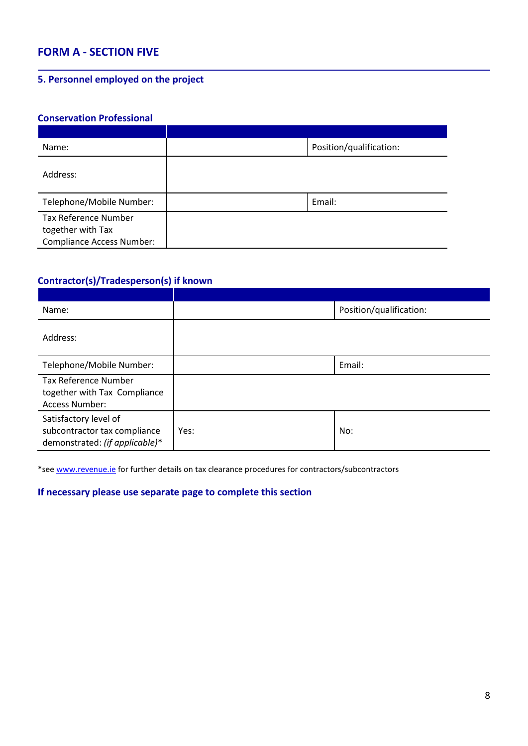### **FORM A - SECTION FIVE**

### **5. Personnel employed on the project**

#### **Conservation Professional**

| Name:                                                                                | Position/qualification: |
|--------------------------------------------------------------------------------------|-------------------------|
| Address:                                                                             |                         |
| Telephone/Mobile Number:                                                             | Email:                  |
| <b>Tax Reference Number</b><br>together with Tax<br><b>Compliance Access Number:</b> |                         |

### **Contractor(s)/Tradesperson(s) if known**

| Name:                                                                                   |      | Position/qualification: |
|-----------------------------------------------------------------------------------------|------|-------------------------|
| Address:                                                                                |      |                         |
| Telephone/Mobile Number:                                                                |      | Email:                  |
| <b>Tax Reference Number</b><br>together with Tax Compliance<br>Access Number:           |      |                         |
| Satisfactory level of<br>subcontractor tax compliance<br>demonstrated: (if applicable)* | Yes: | No:                     |

\*se[e www.revenue.ie](http://www.revenue.ie/) for further details on tax clearance procedures for contractors/subcontractors

### **If necessary please use separate page to complete this section**